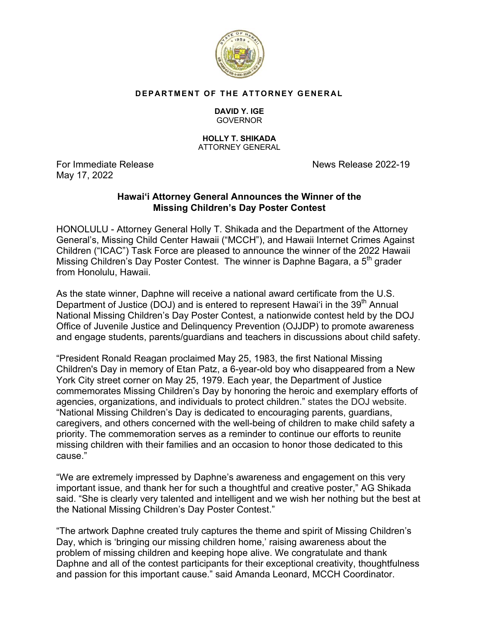

## **DEPARTMENT OF THE ATTORNEY GENERAL**

## **DAVID Y. IGE GOVERNOR**

## **HOLLY T. SHIKADA**  ATTORNEY GENERAL

May 17, 2022

For Immediate ReleaseNews Release 2022-19

## **Hawai'i Attorney General Announces the Winner of the Missing Children's Day Poster Contest**

HONOLULU - Attorney General Holly T. Shikada and the Department of the Attorney General's, Missing Child Center Hawaii ("MCCH"), and Hawaii Internet Crimes Against Children ("ICAC") Task Force are pleased to announce the winner of the 2022 Hawaii Missing Children's Day Poster Contest. The winner is Daphne Bagara, a  $5<sup>th</sup>$  grader from Honolulu, Hawaii.

As the state winner, Daphne will receive a national award certificate from the U.S. Department of Justice (DOJ) and is entered to represent Hawai'i in the 39<sup>th</sup> Annual National Missing Children's Day Poster Contest, a nationwide contest held by the DOJ Office of Juvenile Justice and Delinquency Prevention (OJJDP) to promote awareness and engage students, parents/guardians and teachers in discussions about child safety.

"President Ronald Reagan proclaimed May 25, 1983, the first National Missing Children's Day in memory of Etan Patz, a 6-year-old boy who disappeared from a New York City street corner on May 25, 1979. Each year, the Department of Justice commemorates Missing Children's Day by honoring the heroic and exemplary efforts of agencies, organizations, and individuals to protect children." states the DOJ website. "National Missing Children's Day is dedicated to encouraging parents, guardians, caregivers, and others concerned with the well-being of children to make child safety a priority. The commemoration serves as a reminder to continue our efforts to reunite missing children with their families and an occasion to honor those dedicated to this cause."

"We are extremely impressed by Daphne's awareness and engagement on this very important issue, and thank her for such a thoughtful and creative poster," AG Shikada said. "She is clearly very talented and intelligent and we wish her nothing but the best at the National Missing Children's Day Poster Contest."

"The artwork Daphne created truly captures the theme and spirit of Missing Children's Day, which is 'bringing our missing children home,' raising awareness about the problem of missing children and keeping hope alive. We congratulate and thank Daphne and all of the contest participants for their exceptional creativity, thoughtfulness and passion for this important cause." said Amanda Leonard, MCCH Coordinator.